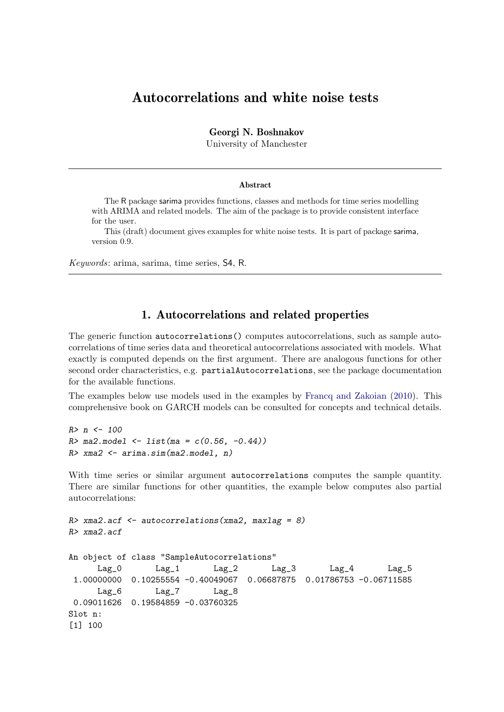# Autocorrelations and white noise tests

Georgi N. Boshnakov

University of Manchester

#### Abstract

The R package sarima provides functions, classes and methods for time series modelling with ARIMA and related models. The aim of the package is to provide consistent interface for the user.

This (draft) document gives examples for white noise tests. It is part of package sarima, version 0.9.

Keywords: arima, sarima, time series, S4, R.

## 1. Autocorrelations and related properties

The generic function autocorrelations() computes autocorrelations, such as sample autocorrelations of time series data and theoretical autocorrelations associated with models. What exactly is computed depends on the first argument. There are analogous functions for other second order characteristics, e.g. partialAutocorrelations, see the package documentation for the available functions.

The examples below use models used in the examples by [Francq and Zakoian](#page-8-0) [\(2010\)](#page-8-0). This comprehensive book on GARCH models can be consulted for concepts and technical details.

```
R> n <- 100
R > ma2.model \leftarrow list(ma = c(0.56, -0.44))R> xma2 <- arima.sim(ma2.model, n)
```
With time series or similar argument autocorrelations computes the sample quantity. There are similar functions for other quantities, the example below computes also partial autocorrelations:

```
R> xma2.acf \leq autocorrelations (xma2, maxlag = 8)
R> xma2.acf
An object of class "SampleAutocorrelations"
     Lag_0 Lag_1 Lag_2 Lag_3 Lag_4 Lag_5
1.00000000 0.10255554 -0.40049067 0.06687875 0.01786753 -0.06711585
     Lag_6 Lag_7 Lag_8
0.09011626 0.19584859 -0.03760325
Slot n:
[1] 100
```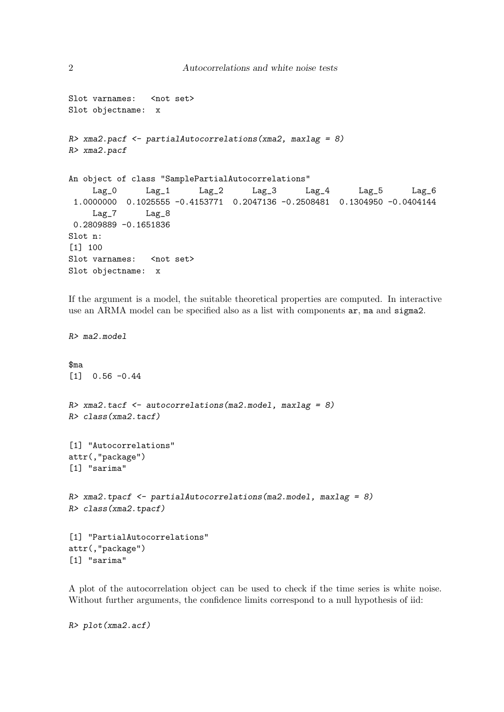```
Slot varnames: < not set>
Slot objectname: x
R xma2.pacf \leq partialAutocorrelations (xma2, maxlag = 8)
R> xma2.pacf
An object of class "SamplePartialAutocorrelations"
    Lag_0 Lag_1 Lag_2 Lag_3 Lag_4 Lag_5 Lag_6
1.0000000 0.1025555 -0.4153771 0.2047136 -0.2508481 0.1304950 -0.0404144
    Lag_7 Lag_8
0.2809889 -0.1651836
Slot n:
[1] 100
Slot varnames: < not set>
Slot objectname: x
```
If the argument is a model, the suitable theoretical properties are computed. In interactive use an ARMA model can be specified also as a list with components ar, ma and sigma2.

```
R> ma2.model
$ma
[1] 0.56 -0.44
R xma2.tacf \leq autocorrelations (ma2.model, maxlag = 8)
R> class(xma2.tacf)
[1] "Autocorrelations"
attr(,"package")
[1] "sarima"
R xma2.tpacf \leq partialAutocorrelations(ma2.model, maxlag = 8)
R> class(xma2.tpacf)
[1] "PartialAutocorrelations"
attr(,"package")
[1] "sarima"
```
A plot of the autocorrelation object can be used to check if the time series is white noise. Without further arguments, the confidence limits correspond to a null hypothesis of iid:

R> plot(xma2.acf)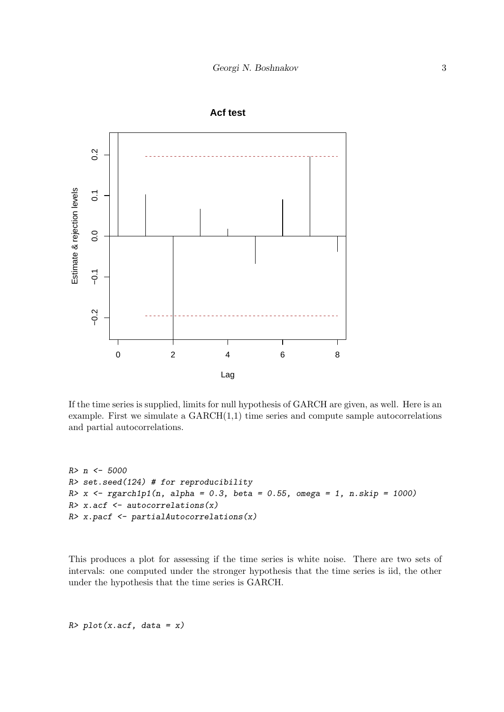

If the time series is supplied, limits for null hypothesis of GARCH are given, as well. Here is an example. First we simulate a  $GARCH(1,1)$  time series and compute sample autocorrelations and partial autocorrelations.

```
R> n <- 5000
R> set.seed(124) # for reproducibility
R > x <- rgarch1p1(n, alpha = 0.3, beta = 0.55, omega = 1, n.skip = 1000)
R> x.acf \leq autocorrelations(x)
R> x.pacf \leftarrow partialAutocorrelations(x)
```
This produces a plot for assessing if the time series is white noise. There are two sets of intervals: one computed under the stronger hypothesis that the time series is iid, the other under the hypothesis that the time series is GARCH.

 $R$ >  $plot(x.act, data = x)$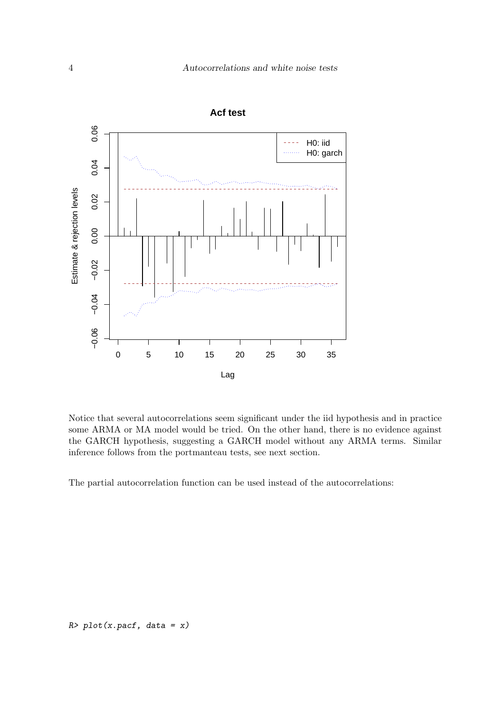

**Acf test**

Notice that several autocorrelations seem significant under the iid hypothesis and in practice some ARMA or MA model would be tried. On the other hand, there is no evidence against the GARCH hypothesis, suggesting a GARCH model without any ARMA terms. Similar inference follows from the portmanteau tests, see next section.

The partial autocorrelation function can be used instead of the autocorrelations: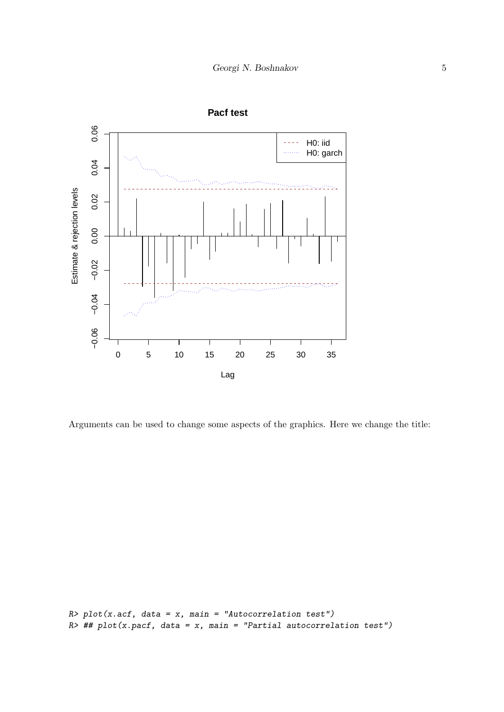

**Pacf test**

Arguments can be used to change some aspects of the graphics. Here we change the title:

```
R> plot(x.act, data = x, main = "Autocorrelation test")R \neq ## plot(x.pacf, data = x, main = "Partial autocorrelation test")
```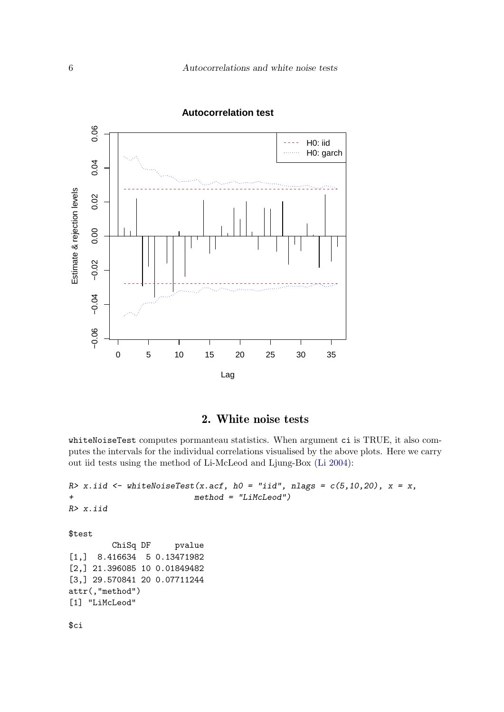

### **Autocorrelation test**

## 2. White noise tests

whiteNoiseTest computes pormanteau statistics. When argument ci is TRUE, it also computes the intervals for the individual correlations visualised by the above plots. Here we carry out iid tests using the method of Li-McLeod and Ljung-Box [\(Li](#page-9-0) [2004\)](#page-9-0):

```
R> x.iid <- whiteNoiseTest(x.acf, h0 = "iid", nlags = c(5, 10, 20), x = x,
                          method = "LiMcLeod")R> x.iid
$test
         ChiSq DF pvalue
[1,] 8.416634 5 0.13471982
[2,] 21.396085 10 0.01849482
[3,] 29.570841 20 0.07711244
attr(,"method")
[1] "LiMcLeod"
$ci
```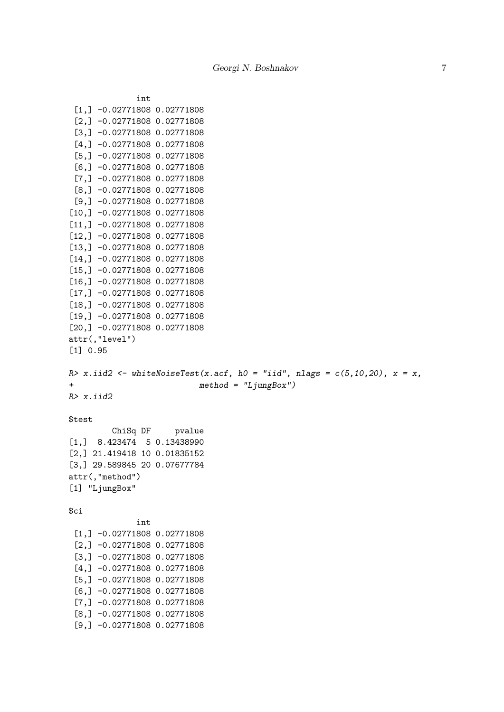```
int
 [1,] -0.02771808 0.02771808
 [2,] -0.02771808 0.02771808
 [3,] -0.02771808 0.02771808
 [4,] -0.02771808 0.02771808
 [5,] -0.02771808 0.02771808
 [6,] -0.02771808 0.02771808
 [7,] -0.02771808 0.02771808
 [8,] -0.02771808 0.02771808
 [9,] -0.02771808 0.02771808
[10,] -0.02771808 0.02771808
[11,] -0.02771808 0.02771808
[12,] -0.02771808 0.02771808
[13,] -0.02771808 0.02771808
[14,] -0.02771808 0.02771808
[15,] -0.02771808 0.02771808
[16,] -0.02771808 0.02771808
[17,] -0.02771808 0.02771808
[18,] -0.02771808 0.02771808
[19,] -0.02771808 0.02771808
[20,] -0.02771808 0.02771808
attr(,"level")
[1] 0.95
R> x.iid2 <- whiteNoiseTest(x.acf, h0 = "iid", nlags = c(5, 10, 20), x = x,
+ method = "LjungBox")
R> x.iid2
$test
        ChiSq DF pvalue
[1,] 8.423474 5 0.13438990
[2,] 21.419418 10 0.01835152
[3,] 29.589845 20 0.07677784
attr(,"method")
[1] "LjungBox"
$ciint
 [1,] -0.02771808 0.02771808
 [2,] -0.02771808 0.02771808
 [3,] -0.02771808 0.02771808
 [4,] -0.02771808 0.02771808
 [5,] -0.02771808 0.02771808
 [6,] -0.02771808 0.02771808
 [7,] -0.02771808 0.02771808
 [8,] -0.02771808 0.02771808
 [9,] -0.02771808 0.02771808
```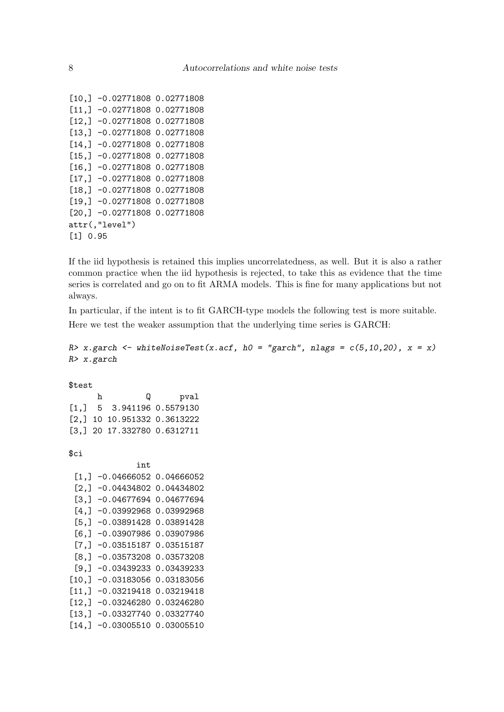```
[10,] -0.02771808 0.02771808
[11,] -0.02771808 0.02771808
[12,] -0.02771808 0.02771808
[13,] -0.02771808 0.02771808
[14,] -0.02771808 0.02771808
[15,] -0.02771808 0.02771808
[16,] -0.02771808 0.02771808
[17,] -0.02771808 0.02771808
[18,] -0.02771808 0.02771808
[19,] -0.02771808 0.02771808
[20,] -0.02771808 0.02771808
attr(,"level")
[1] 0.95
```
If the iid hypothesis is retained this implies uncorrelatedness, as well. But it is also a rather common practice when the iid hypothesis is rejected, to take this as evidence that the time series is correlated and go on to fit ARMA models. This is fine for many applications but not always.

In particular, if the intent is to fit GARCH-type models the following test is more suitable. Here we test the weaker assumption that the underlying time series is GARCH:

```
R > x.garch \leftarrow whiteNoiseTest(x.acf, h0 = "garch", nlags = c(5, 10, 20), x = x)R> x.garch
```
\$test

h Q pval [1,] 5 3.941196 0.5579130 [2,] 10 10.951332 0.3613222 [3,] 20 17.332780 0.6312711

\$ci

|                    | i nt.         |            |
|--------------------|---------------|------------|
| [1,]               | $-0.04666052$ | 0.04666052 |
| [2,]               | -0.04434802   | 0.04434802 |
| [3,]               | -0.04677694   | 0.04677694 |
| $[4,$ ]            | $-0.03992968$ | 0.03992968 |
| [5,]               | $-0.03891428$ | 0.03891428 |
| [6,                | $-0.03907986$ | 0.03907986 |
| $\left[7, \right]$ | -0.03515187   | 0.03515187 |
| [8,]               | $-0.03573208$ | 0.03573208 |
| [9,]               | $-0.03439233$ | 0.03439233 |
| [10,]              | $-0.03183056$ | 0.03183056 |
| [11,]              | $-0.03219418$ | 0.03219418 |
| [12,]              | -0.03246280   | 0.03246280 |
| [13,]              | $-0.03327740$ | 0.03327740 |
| [14,               | -0.03005510   | 0.03005510 |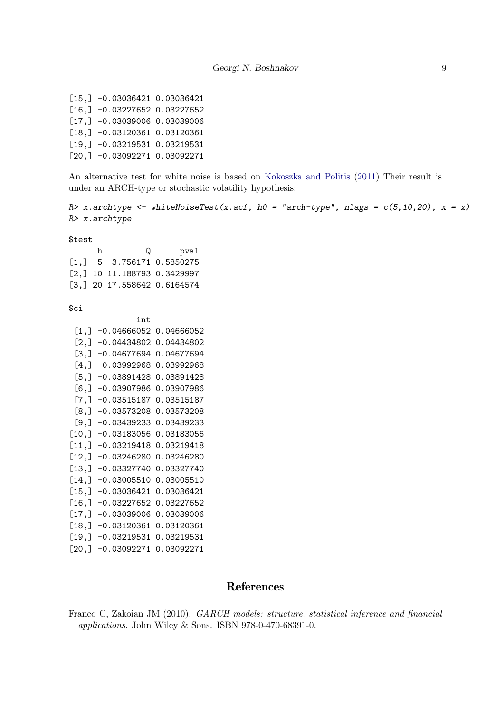[15,] -0.03036421 0.03036421 [16,] -0.03227652 0.03227652 [17,] -0.03039006 0.03039006 [18,] -0.03120361 0.03120361 [19,] -0.03219531 0.03219531 [20,] -0.03092271 0.03092271

An alternative test for white noise is based on [Kokoszka and Politis](#page-9-1) [\(2011\)](#page-9-1) Their result is under an ARCH-type or stochastic volatility hypothesis:

```
R> x.archtype <- whiteNoiseTest(x.acf, h0 = "arch-type", nlags = c(5, 10, 20), x = x)
R> x.archtype
```
\$test

| h | IJ                                                          | pval |
|---|-------------------------------------------------------------|------|
|   | $\begin{bmatrix} 1 \\ 1 \end{bmatrix}$ 5 3.756171 0.5850275 |      |
|   | $[2,]$ 10 11.188793 0.3429997                               |      |
|   | $[3,]$ 20 17.558642 0.6164574                               |      |

 $$ci$ 

|        | i nt.         |            |
|--------|---------------|------------|
| [1,]   | $-0.04666052$ | 0.04666052 |
| [2,]   | 0.04434802    | 0.04434802 |
| [3,]   | -0.04677694   | 0.04677694 |
| [4,]   | $-0.03992968$ | 0.03992968 |
| [5,]   | -0.03891428   | 0.03891428 |
| [6,]   | $-0.03907986$ | 0.03907986 |
| [7,]   | $-0.03515187$ | 0.03515187 |
| [8,]   | $-0.03573208$ | 0.03573208 |
| [9,]   | -0.03439233   | 0.03439233 |
| [10, ] | $-0.03183056$ | 0.03183056 |
| [11,   | -0.03219418   | 0.03219418 |
| [12,]  | -0.03246280   | 0.03246280 |
| [13,]  | -0.03327740   | 0.03327740 |
| [14,   | $-0.03005510$ | 0.03005510 |
| [15,]  | -0.03036421   | 0.03036421 |
| [16,]  | -0.03227652   | 0.03227652 |
| [17,]  | -0.03039006   | 0.03039006 |
| [18,]  | -0.03120361   | 0.03120361 |
| [19,]  | $-0.03219531$ | 0.03219531 |
| [20.]  | -0.03092271   | 0.03092271 |
|        |               |            |

## References

<span id="page-8-0"></span>Francq C, Zakoian JM (2010). GARCH models: structure, statistical inference and financial applications. John Wiley & Sons. ISBN 978-0-470-68391-0.